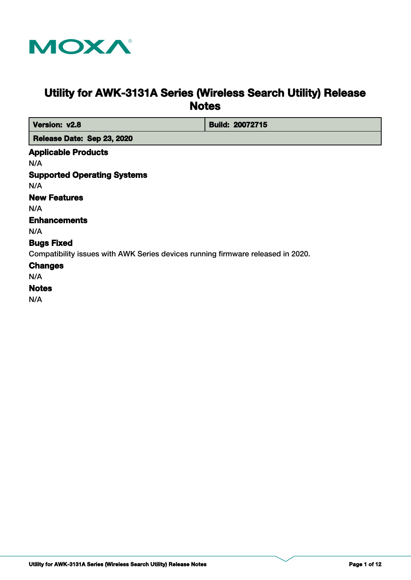

# **Utility for AWK-3131A Series (Wireless Search Utility) Release Notes**

| Version: v2.8                                                                   | <b>Build: 20072715</b> |
|---------------------------------------------------------------------------------|------------------------|
| Release Date: Sep 23, 2020                                                      |                        |
| <b>Applicable Products</b>                                                      |                        |
| N/A                                                                             |                        |
| <b>Supported Operating Systems</b>                                              |                        |
| N/A                                                                             |                        |
| <b>New Features</b>                                                             |                        |
| N/A                                                                             |                        |
| <b>Enhancements</b>                                                             |                        |
| N/A                                                                             |                        |
| <b>Bugs Fixed</b>                                                               |                        |
| Compatibility issues with AWK Series devices running firmware released in 2020. |                        |
| <b>Changes</b>                                                                  |                        |
| N/A                                                                             |                        |
| <b>Notes</b>                                                                    |                        |
| N/A                                                                             |                        |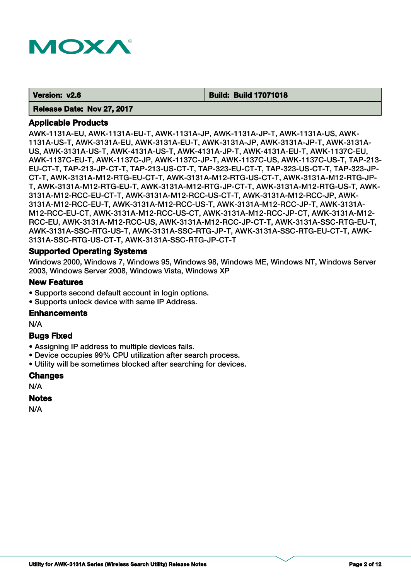

#### **Version: v2.6 Build: Build 17071018**

#### **Release Date: Nov 27, 2017**

## **Applicable Products**

AWK-1131A-EU, AWK-1131A-EU-T, AWK-1131A-JP, AWK-1131A-JP-T, AWK-1131A-US, AWK-1131A-US-T, AWK-3131A-EU, AWK-3131A-EU-T, AWK-3131A-JP, AWK-3131A-JP-T, AWK-3131A-US, AWK-3131A-US-T, AWK-4131A-US-T, AWK-4131A-JP-T, AWK-4131A-EU-T, AWK-1137C-EU, AWK-1137C-EU-T, AWK-1137C-JP, AWK-1137C-JP-T, AWK-1137C-US, AWK-1137C-US-T, TAP-213- EU-CT-T, TAP-213-JP-CT-T, TAP-213-US-CT-T, TAP-323-EU-CT-T, TAP-323-US-CT-T, TAP-323-JP-CT-T, AWK-3131A-M12-RTG-EU-CT-T, AWK-3131A-M12-RTG-US-CT-T, AWK-3131A-M12-RTG-JP-T, AWK-3131A-M12-RTG-EU-T, AWK-3131A-M12-RTG-JP-CT-T, AWK-3131A-M12-RTG-US-T, AWK-3131A-M12-RCC-EU-CT-T, AWK-3131A-M12-RCC-US-CT-T, AWK-3131A-M12-RCC-JP, AWK-3131A-M12-RCC-EU-T, AWK-3131A-M12-RCC-US-T, AWK-3131A-M12-RCC-JP-T, AWK-3131A-M12-RCC-EU-CT, AWK-3131A-M12-RCC-US-CT, AWK-3131A-M12-RCC-JP-CT, AWK-3131A-M12- RCC-EU, AWK-3131A-M12-RCC-US, AWK-3131A-M12-RCC-JP-CT-T, AWK-3131A-SSC-RTG-EU-T, AWK-3131A-SSC-RTG-US-T, AWK-3131A-SSC-RTG-JP-T, AWK-3131A-SSC-RTG-EU-CT-T, AWK-3131A-SSC-RTG-US-CT-T, AWK-3131A-SSC-RTG-JP-CT-T

## **Supported Operating Systems**

Windows 2000, Windows 7, Windows 95, Windows 98, Windows ME, Windows NT, Windows Server 2003, Windows Server 2008, Windows Vista, Windows XP

#### **New Features**

- Supports second default account in login options.
- Supports unlock device with same IP Address.

#### **Enhancements**

N/A

## **Bugs Fixed**

- Assigning IP address to multiple devices fails.
- Device occupies 99% CPU utilization after search process.
- Utility will be sometimes blocked after searching for devices.

#### **Changes**

N/A

## **Notes**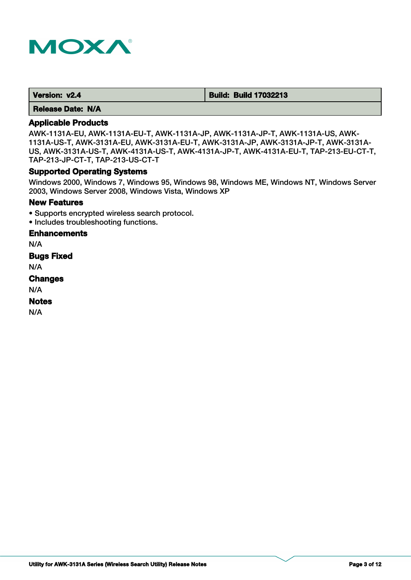

| Version: v2.4 | <b>Build: Build 17032213</b> |
|---------------|------------------------------|
|---------------|------------------------------|

# **Applicable Products**

AWK-1131A-EU, AWK-1131A-EU-T, AWK-1131A-JP, AWK-1131A-JP-T, AWK-1131A-US, AWK-1131A-US-T, AWK-3131A-EU, AWK-3131A-EU-T, AWK-3131A-JP, AWK-3131A-JP-T, AWK-3131A-US, AWK-3131A-US-T, AWK-4131A-US-T, AWK-4131A-JP-T, AWK-4131A-EU-T, TAP-213-EU-CT-T, TAP-213-JP-CT-T, TAP-213-US-CT-T

## **Supported Operating Systems**

Windows 2000, Windows 7, Windows 95, Windows 98, Windows ME, Windows NT, Windows Server 2003, Windows Server 2008, Windows Vista, Windows XP

#### **New Features**

- Supports encrypted wireless search protocol.
- Includes troubleshooting functions.

## **Enhancements**

N/A

**Bugs Fixed**

N/A

#### **Changes**

N/A

## **Notes**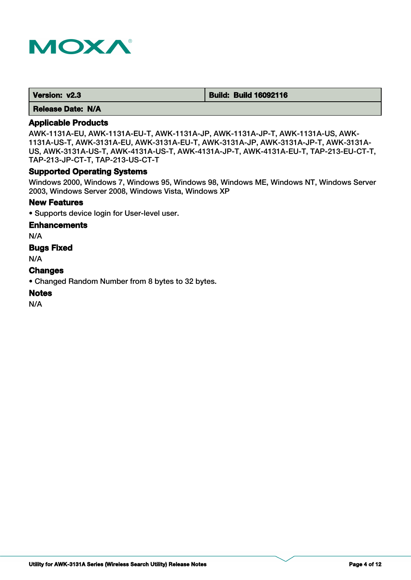

| Version: v2.3 | <b>Build: Build 16092116</b> |
|---------------|------------------------------|
|---------------|------------------------------|

# **Applicable Products**

AWK-1131A-EU, AWK-1131A-EU-T, AWK-1131A-JP, AWK-1131A-JP-T, AWK-1131A-US, AWK-1131A-US-T, AWK-3131A-EU, AWK-3131A-EU-T, AWK-3131A-JP, AWK-3131A-JP-T, AWK-3131A-US, AWK-3131A-US-T, AWK-4131A-US-T, AWK-4131A-JP-T, AWK-4131A-EU-T, TAP-213-EU-CT-T, TAP-213-JP-CT-T, TAP-213-US-CT-T

## **Supported Operating Systems**

Windows 2000, Windows 7, Windows 95, Windows 98, Windows ME, Windows NT, Windows Server 2003, Windows Server 2008, Windows Vista, Windows XP

#### **New Features**

• Supports device login for User-level user.

## **Enhancements**

N/A

## **Bugs Fixed**

N/A

## **Changes**

• Changed Random Number from 8 bytes to 32 bytes.

## **Notes**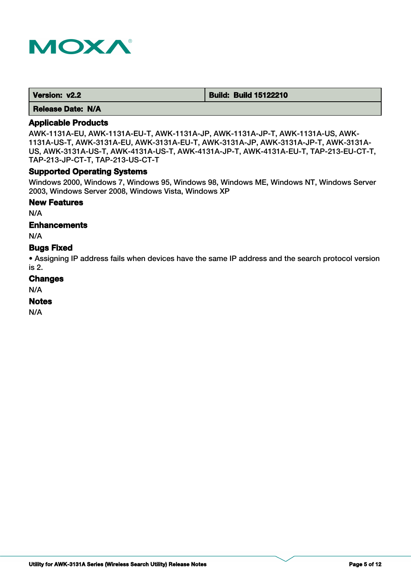

| Version: v2.2 | <b>Build: Build 15122210</b> |
|---------------|------------------------------|
|---------------|------------------------------|

# **Applicable Products**

AWK-1131A-EU, AWK-1131A-EU-T, AWK-1131A-JP, AWK-1131A-JP-T, AWK-1131A-US, AWK-1131A-US-T, AWK-3131A-EU, AWK-3131A-EU-T, AWK-3131A-JP, AWK-3131A-JP-T, AWK-3131A-US, AWK-3131A-US-T, AWK-4131A-US-T, AWK-4131A-JP-T, AWK-4131A-EU-T, TAP-213-EU-CT-T, TAP-213-JP-CT-T, TAP-213-US-CT-T

## **Supported Operating Systems**

Windows 2000, Windows 7, Windows 95, Windows 98, Windows ME, Windows NT, Windows Server 2003, Windows Server 2008, Windows Vista, Windows XP

#### **New Features**

N/A

## **Enhancements**

N/A

# **Bugs Fixed**

• Assigning IP address fails when devices have the same IP address and the search protocol version is 2.

#### **Changes**

N/A

## **Notes**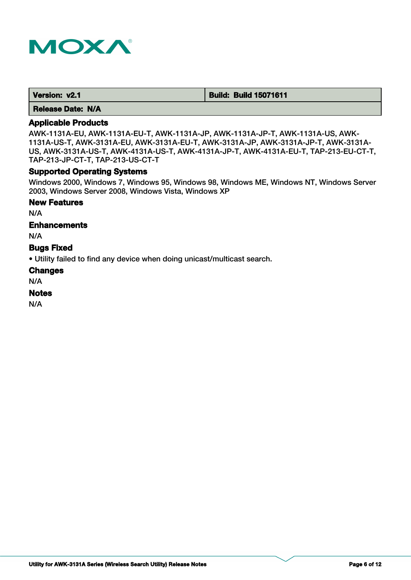

| Version: v2.1 | <b>Build: Build 15071611</b> |
|---------------|------------------------------|
|---------------|------------------------------|

# **Applicable Products**

AWK-1131A-EU, AWK-1131A-EU-T, AWK-1131A-JP, AWK-1131A-JP-T, AWK-1131A-US, AWK-1131A-US-T, AWK-3131A-EU, AWK-3131A-EU-T, AWK-3131A-JP, AWK-3131A-JP-T, AWK-3131A-US, AWK-3131A-US-T, AWK-4131A-US-T, AWK-4131A-JP-T, AWK-4131A-EU-T, TAP-213-EU-CT-T, TAP-213-JP-CT-T, TAP-213-US-CT-T

## **Supported Operating Systems**

Windows 2000, Windows 7, Windows 95, Windows 98, Windows ME, Windows NT, Windows Server 2003, Windows Server 2008, Windows Vista, Windows XP

## **New Features**

N/A

## **Enhancements**

N/A

## **Bugs Fixed**

• Utility failed to find any device when doing unicast/multicast search.

#### **Changes**

N/A

#### **Notes**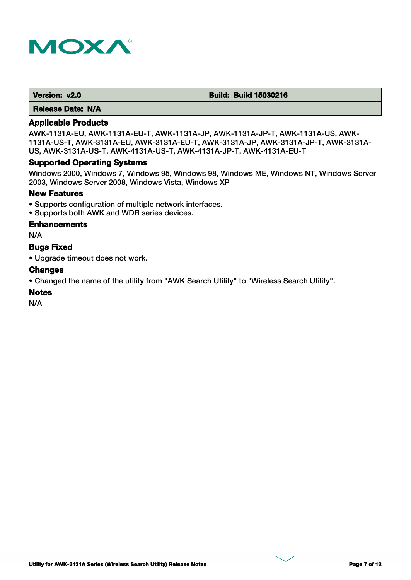

| Version: v2.0 | <b>Build: Build 15030216</b> |
|---------------|------------------------------|
|---------------|------------------------------|

# **Applicable Products**

AWK-1131A-EU, AWK-1131A-EU-T, AWK-1131A-JP, AWK-1131A-JP-T, AWK-1131A-US, AWK-1131A-US-T, AWK-3131A-EU, AWK-3131A-EU-T, AWK-3131A-JP, AWK-3131A-JP-T, AWK-3131A-US, AWK-3131A-US-T, AWK-4131A-US-T, AWK-4131A-JP-T, AWK-4131A-EU-T

## **Supported Operating Systems**

Windows 2000, Windows 7, Windows 95, Windows 98, Windows ME, Windows NT, Windows Server 2003, Windows Server 2008, Windows Vista, Windows XP

#### **New Features**

- Supports configuration of multiple network interfaces.
- Supports both AWK and WDR series devices.

#### **Enhancements**

N/A

# **Bugs Fixed**

• Upgrade timeout does not work.

## **Changes**

• Changed the name of the utility from "AWK Search Utility" to "Wireless Search Utility".

## **Notes**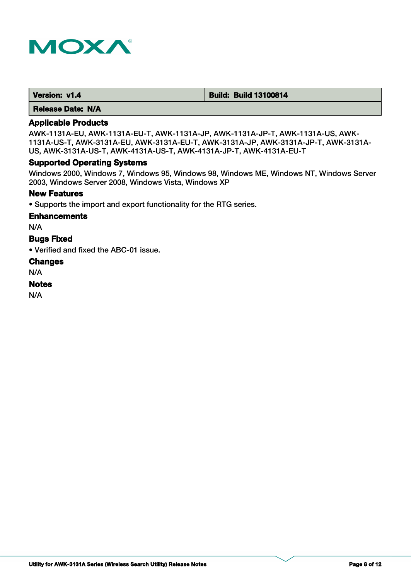

| Version: v1.4 | <b>Build: Build 13100814</b> |
|---------------|------------------------------|
|---------------|------------------------------|

# **Applicable Products**

AWK-1131A-EU, AWK-1131A-EU-T, AWK-1131A-JP, AWK-1131A-JP-T, AWK-1131A-US, AWK-1131A-US-T, AWK-3131A-EU, AWK-3131A-EU-T, AWK-3131A-JP, AWK-3131A-JP-T, AWK-3131A-US, AWK-3131A-US-T, AWK-4131A-US-T, AWK-4131A-JP-T, AWK-4131A-EU-T

## **Supported Operating Systems**

Windows 2000, Windows 7, Windows 95, Windows 98, Windows ME, Windows NT, Windows Server 2003, Windows Server 2008, Windows Vista, Windows XP

## **New Features**

• Supports the import and export functionality for the RTG series.

#### **Enhancements**

N/A

#### **Bugs Fixed**

• Verified and fixed the ABC-01 issue.

#### **Changes**

N/A

#### **Notes**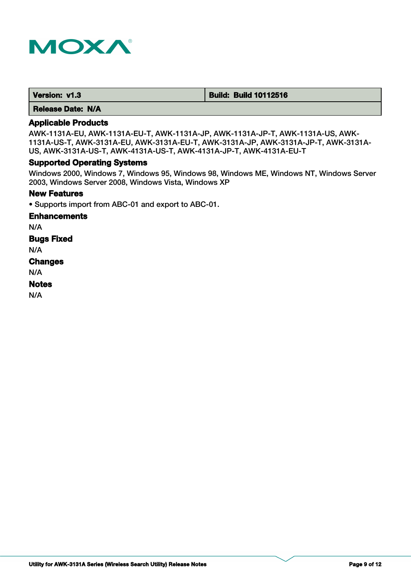

 **Version: v1.3 Build: Build: Build 10112516** 

 **Release Date: N/A**

# **Applicable Products**

AWK-1131A-EU, AWK-1131A-EU-T, AWK-1131A-JP, AWK-1131A-JP-T, AWK-1131A-US, AWK-1131A-US-T, AWK-3131A-EU, AWK-3131A-EU-T, AWK-3131A-JP, AWK-3131A-JP-T, AWK-3131A-US, AWK-3131A-US-T, AWK-4131A-US-T, AWK-4131A-JP-T, AWK-4131A-EU-T

# **Supported Operating Systems**

Windows 2000, Windows 7, Windows 95, Windows 98, Windows ME, Windows NT, Windows Server 2003, Windows Server 2008, Windows Vista, Windows XP

## **New Features**

• Supports import from ABC-01 and export to ABC-01.

## **Enhancements**

N/A

**Bugs Fixed**

N/A

# **Changes**

N/A

## **Notes**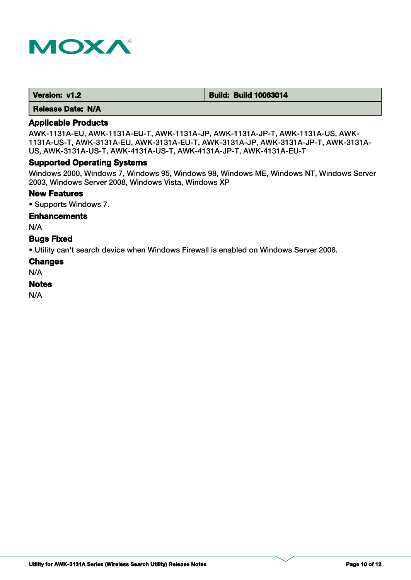

| Version: v1.2 | <b>Build: Build 10063014</b> |
|---------------|------------------------------|
|---------------|------------------------------|

# **Applicable Products**

AWK-1131A-EU, AWK-1131A-EU-T, AWK-1131A-JP, AWK-1131A-JP-T, AWK-1131A-US, AWK-1131A-US-T, AWK-3131A-EU, AWK-3131A-EU-T, AWK-3131A-JP, AWK-3131A-JP-T, AWK-3131A-US, AWK-3131A-US-T, AWK-4131A-US-T, AWK-4131A-JP-T, AWK-4131A-EU-T

#### **Supported Operating Systems**

Windows 2000, Windows 7, Windows 95, Windows 98, Windows ME, Windows NT, Windows Server 2003, Windows Server 2008, Windows Vista, Windows XP

#### **New Features**

• Supports Windows 7.

## **Enhancements**

N/A

#### **Bugs Fixed**

• Utility can't search device when Windows Firewall is enabled on Windows Server 2008.

#### **Changes**

N/A

#### **Notes**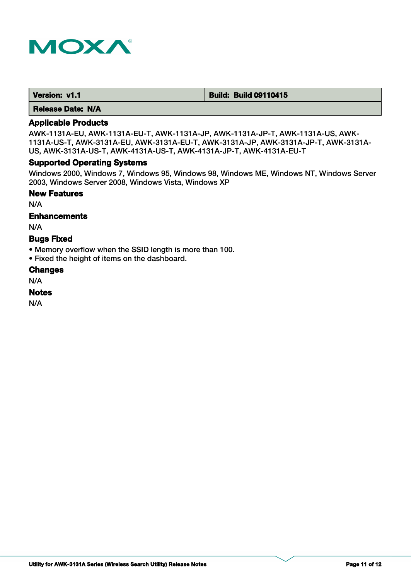

| Version: v1.1 | <b>Build: Build 09110415</b> |
|---------------|------------------------------|
|---------------|------------------------------|

# **Applicable Products**

AWK-1131A-EU, AWK-1131A-EU-T, AWK-1131A-JP, AWK-1131A-JP-T, AWK-1131A-US, AWK-1131A-US-T, AWK-3131A-EU, AWK-3131A-EU-T, AWK-3131A-JP, AWK-3131A-JP-T, AWK-3131A-US, AWK-3131A-US-T, AWK-4131A-US-T, AWK-4131A-JP-T, AWK-4131A-EU-T

## **Supported Operating Systems**

Windows 2000, Windows 7, Windows 95, Windows 98, Windows ME, Windows NT, Windows Server 2003, Windows Server 2008, Windows Vista, Windows XP

# **New Features**

N/A

## **Enhancements**

N/A

## **Bugs Fixed**

- Memory overflow when the SSID length is more than 100.
- Fixed the height of items on the dashboard.

#### **Changes**

N/A

#### **Notes**